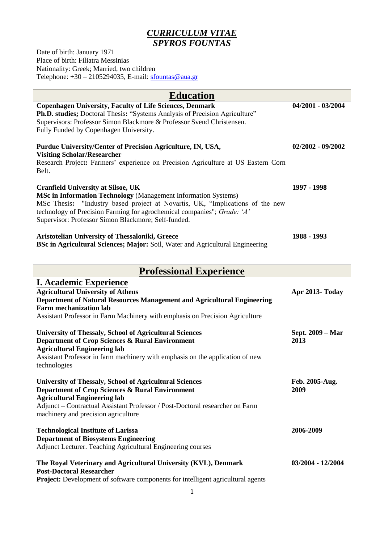# *CURRICULUM VITAE SPYROS FOUNTAS*

Date of birth: January 1971 Place of birth: Filiatra Messinias Nationality: Greek; Married, two children Telephone:  $+30 - 2105294035$ , E-mail: [sfountas@aua.gr](mailto:sfountas@aua.gr)

| <b>Education</b>                                                                                                                                                                                                                                                                                                                                                                                                                                                                                               |                   |  |  |  |  |
|----------------------------------------------------------------------------------------------------------------------------------------------------------------------------------------------------------------------------------------------------------------------------------------------------------------------------------------------------------------------------------------------------------------------------------------------------------------------------------------------------------------|-------------------|--|--|--|--|
| <b>Copenhagen University, Faculty of Life Sciences, Denmark</b><br>Ph.D. studies; Doctoral Thesis: "Systems Analysis of Precision Agriculture"<br>Supervisors: Professor Simon Blackmore & Professor Svend Christensen.<br>Fully Funded by Copenhagen University.                                                                                                                                                                                                                                              | 04/2001 - 03/2004 |  |  |  |  |
| Purdue University/Center of Precision Agriculture, IN, USA,<br><b>Visiting Scholar/Researcher</b><br>Research Project: Farmers' experience on Precision Agriculture at US Eastern Corn<br>Belt.                                                                                                                                                                                                                                                                                                                | 02/2002 - 09/2002 |  |  |  |  |
| <b>Cranfield University at Silsoe, UK</b><br><b>MSc in Information Technology</b> (Management Information Systems)<br>MSc Thesis: "Industry based project at Novartis, UK, "Implications of the new<br>technology of Precision Farming for agrochemical companies"; Grade: 'A'<br>Supervisor: Professor Simon Blackmore; Self-funded.                                                                                                                                                                          | 1997 - 1998       |  |  |  |  |
| Aristotelian University of Thessaloniki, Greece<br><b>BSc in Agricultural Sciences; Major: Soil, Water and Agricultural Engineering</b>                                                                                                                                                                                                                                                                                                                                                                        | 1988 - 1993       |  |  |  |  |
| <b>Professional Experience</b>                                                                                                                                                                                                                                                                                                                                                                                                                                                                                 |                   |  |  |  |  |
| <b>I. Academic Experience</b><br><b>Agricultural University of Athens</b><br>Department of Natural Resources Management and Agricultural Engineering<br><b>Farm mechanization lab</b><br>$\mathcal{A}$ and $\mathbf{D}_{\text{out}}$ $\mathbf{C}_{\text{out}}$ and $\mathbf{D}_{\text{out}}$ and $\mathbf{M}_{\text{out}}$ and $\mathbf{L}_{\text{out}}$ and $\mathbf{M}_{\text{out}}$ and $\mathbf{M}_{\text{out}}$ and $\mathbf{M}_{\text{out}}$ and $\mathbf{M}_{\text{out}}$ and $\mathbf{M}_{\text{out}}$ | Apr 2013- Today   |  |  |  |  |

| Assistant Professor in Farm Machinery with emphasis on Precision Agriculture |
|------------------------------------------------------------------------------|
|------------------------------------------------------------------------------|

| <b>University of Thessaly, School of Agricultural Sciences</b><br>Department of Crop Sciences & Rural Environment<br><b>Agricultural Engineering lab</b><br>Assistant Professor in farm machinery with emphasis on the application of new<br>technologies                                  | Sept. 2009 - Mar<br>2013 |
|--------------------------------------------------------------------------------------------------------------------------------------------------------------------------------------------------------------------------------------------------------------------------------------------|--------------------------|
| <b>University of Thessaly, School of Agricultural Sciences</b><br><b>Department of Crop Sciences &amp; Rural Environment</b><br><b>Agricultural Engineering lab</b><br>Adjunct – Contractual Assistant Professor / Post-Doctoral researcher on Farm<br>machinery and precision agriculture | Feb. 2005-Aug.<br>2009   |
| <b>Technological Institute of Larissa</b><br><b>Department of Biosystems Engineering</b><br>Adjunct Lecturer. Teaching Agricultural Engineering courses                                                                                                                                    | 2006-2009                |
| The Royal Veterinary and Agricultural University (KVL), Denmark<br><b>Post-Doctoral Researcher</b><br><b>Project:</b> Development of software components for intelligent agricultural agents                                                                                               | 03/2004 - 12/2004        |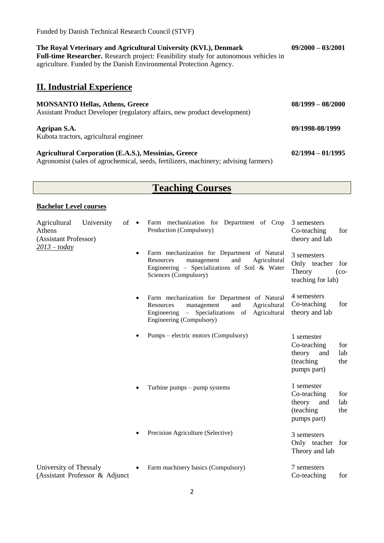| The Royal Veterinary and Agricultural University (KVL), Denmark<br><b>Full-time Researcher.</b> Research project: Feasibility study for autonomous vehicles in<br>agriculture. Funded by the Danish Environmental Protection Agency. | $09/2000 - 03/2001$ |  |
|--------------------------------------------------------------------------------------------------------------------------------------------------------------------------------------------------------------------------------------|---------------------|--|
| <b>II. Industrial Experience</b>                                                                                                                                                                                                     |                     |  |
| <b>MONSANTO Hellas, Athens, Greece</b><br>Assistant Product Developer (regulatory affairs, new product development)                                                                                                                  | $08/1999 - 08/2000$ |  |
| Agripan S.A.<br>Kubota tractors, agricultural engineer                                                                                                                                                                               | 09/1998-08/1999     |  |
| <b>Agricultural Corporation (E.A.S.), Messinias, Greece</b><br>Agronomist (sales of agrochemical, seeds, fertilizers, machinery; advising farmers)                                                                                   | $02/1994 - 01/1995$ |  |

# **Teaching Courses**

#### **Bachelor Level courses**

Funded by Danish Technical Research Council (STVF)

| University<br>$of \bullet$<br>Agricultural<br>Athens<br>(Assistant Professor)<br>$2013 - today$ |                                | Farm mechanization for Department of Crop<br>Production (Compulsory)                                                                                                        | 3 semesters<br>Co-teaching<br>theory and lab               | for                                                                    |                   |
|-------------------------------------------------------------------------------------------------|--------------------------------|-----------------------------------------------------------------------------------------------------------------------------------------------------------------------------|------------------------------------------------------------|------------------------------------------------------------------------|-------------------|
|                                                                                                 | $\bullet$                      | Farm mechanization for Department of Natural<br>Agricultural<br>Resources<br>management<br>and<br>Engineering - Specializations of Soil & Water<br>Sciences (Compulsory)    | 3 semesters<br>Only teacher<br>Theory<br>teaching for lab) | for<br>$({\rm co-}$                                                    |                   |
|                                                                                                 |                                | Farm mechanization for Department of Natural<br>Agricultural<br>Resources<br>management<br>and<br>Engineering – Specializations of Agricultural<br>Engineering (Compulsory) | 4 semesters<br>Co-teaching<br>theory and lab               | for                                                                    |                   |
|                                                                                                 |                                |                                                                                                                                                                             | Pumps – electric motors (Compulsory)                       | 1 semester<br>Co-teaching<br>theory<br>and<br>(teaching<br>pumps part) | for<br>lab<br>the |
|                                                                                                 |                                |                                                                                                                                                                             | Turbine pumps $-$ pump systems                             | 1 semester<br>Co-teaching<br>theory<br>and<br>(teaching<br>pumps part) | for<br>lab<br>the |
|                                                                                                 |                                |                                                                                                                                                                             | Precision Agriculture (Selective)                          | 3 semesters<br>Only teacher for<br>Theory and lab                      |                   |
| University of Thessaly                                                                          | (Assistant Professor & Adjunct |                                                                                                                                                                             | Farm machinery basics (Compulsory)                         | 7 semesters<br>Co-teaching                                             | for               |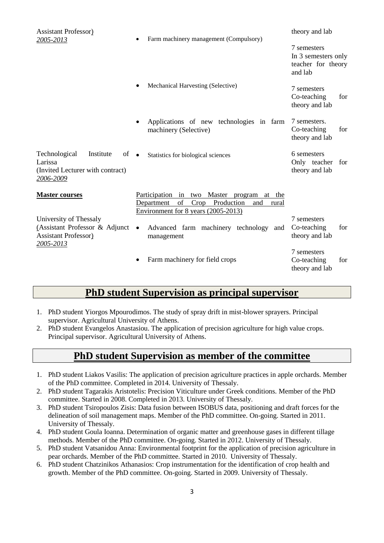| <b>Assistant Professor</b> )<br>2005-2013                                                            | ٠         | Farm machinery management (Compulsory)                                                                                                                | theory and lab                                                      |     |
|------------------------------------------------------------------------------------------------------|-----------|-------------------------------------------------------------------------------------------------------------------------------------------------------|---------------------------------------------------------------------|-----|
|                                                                                                      |           |                                                                                                                                                       | 7 semesters<br>In 3 semesters only<br>teacher for theory<br>and lab |     |
|                                                                                                      | $\bullet$ | Mechanical Harvesting (Selective)                                                                                                                     | 7 semesters<br>Co-teaching<br>theory and lab                        | for |
|                                                                                                      | $\bullet$ | Applications of new technologies in farm<br>machinery (Selective)                                                                                     | 7 semesters.<br>Co-teaching<br>theory and lab                       | for |
| Technological<br>Institute<br>of<br>Larissa<br>(Invited Lecturer with contract)<br>2006-2009         | $\bullet$ | Statistics for biological sciences                                                                                                                    | 6 semesters<br>Only teacher<br>theory and lab                       | for |
| <b>Master courses</b>                                                                                |           | Master<br>Participation in two<br>program<br>at the<br>of<br>Crop Production<br>Department<br>and<br>rural<br>Environment for $8$ years $(2005-2013)$ |                                                                     |     |
| University of Thessaly<br>(Assistant Professor & Adjunct<br><b>Assistant Professor)</b><br>2005-2013 | $\bullet$ | Advanced farm machinery technology<br>and<br>management                                                                                               | 7 semesters<br>Co-teaching<br>theory and lab                        | for |
|                                                                                                      |           | Farm machinery for field crops                                                                                                                        | 7 semesters<br>Co-teaching<br>theory and lab                        | for |

# **PhD student Supervision as principal supervisor**

- 1. PhD student Yiorgos Mpourodimos. The study of spray drift in mist-blower sprayers. Principal supervisor. Agricultural University of Athens.
- 2. PhD student Evangelos Anastasiou. The application of precision agriculture for high value crops. Principal supervisor. Agricultural University of Athens.

# **PhD student Supervision as member of the committee**

- 1. PhD student Liakos Vasilis: The application of precision agriculture practices in apple orchards. Member of the PhD committee. Completed in 2014. University of Thessaly.
- 2. PhD student Tagarakis Aristotelis: Precision Viticulture under Greek conditions. Member of the PhD committee. Started in 2008. Completed in 2013. University of Thessaly.
- 3. PhD student Tsiropoulos Zisis: Data fusion between ISOBUS data, positioning and draft forces for the delineation of soil management maps. Member of the PhD committee. On-going. Started in 2011. University of Thessaly.
- 4. PhD student Goula Ioanna. Determination of organic matter and greenhouse gases in different tillage methods. Member of the PhD committee. On-going. Started in 2012. University of Thessaly.
- 5. PhD student Vatsanidou Anna: Environmental footprint for the application of precision agriculture in pear orchards. Member of the PhD committee. Started in 2010. University of Thessaly.
- 6. PhD student Chatzinikos Athanasios: Crop instrumentation for the identification of crop health and growth. Member of the PhD committee. On-going. Started in 2009. University of Thessaly.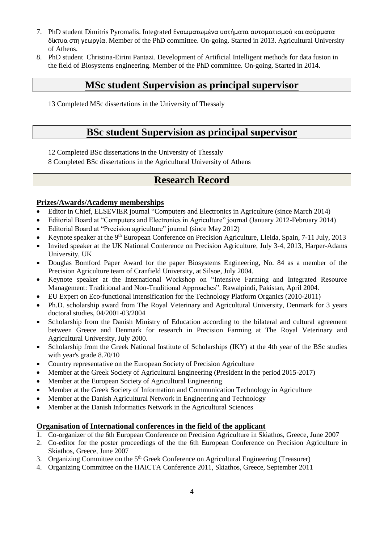- 7. PhD student Dimitris Pyromalis. Integrated Ενσωματωμένα υστήματα αυτοματισμού και ασύρματα δίκτυα στη γεωργία. Member of the PhD committee. On-going. Started in 2013. Agricultural University of Athens.
- 8. PhD student Christina-Eirini Pantazi. Development of Artificial Intelligent methods for data fusion in the field of Biosystems engineering. Member of the PhD committee. On-going. Started in 2014.

# **MSc student Supervision as principal supervisor**

13 Completed MSc dissertations in the University of Thessaly

# **BSc student Supervision as principal supervisor**

12 Completed BSc dissertations in the University of Thessaly

8 Completed BSc dissertations in the Agricultural University of Athens

# **Research Record**

### **Prizes/Awards/Academy memberships**

- Editor in Chief, ELSEVIER journal "Computers and Electronics in Agriculture (since March 2014)
- Editorial Board at "Computers and Electronics in Agriculture" journal (January 2012-February 2014)
- Editorial Board at "Precision agriculture" journal (since May 2012)
- Keynote speaker at the 9<sup>th</sup> European Conference on Precision Agriculture, Lleida, Spain, 7-11 July, 2013
- Invited speaker at the UK National Conference on Precision Agriculture, July 3-4, 2013, Harper-Adams University, UK
- Douglas Bomford Paper Award for the paper Biosystems Engineering, No. 84 as a member of the Precision Agriculture team of Cranfield University, at Silsoe, July 2004.
- Keynote speaker at the International Workshop on "Intensive Farming and Integrated Resource Management: Traditional and Non-Traditional Approaches". Rawalpindi, Pakistan, April 2004.
- EU Expert on Eco-functional intensification for the Technology Platform Organics (2010-2011)
- Ph.D. scholarship award from The Royal Veterinary and Agricultural University, Denmark for 3 years doctoral studies, 04/2001-03/2004
- Scholarship from the Danish Ministry of Education according to the bilateral and cultural agreement between Greece and Denmark for research in Precision Farming at The Royal Veterinary and Agricultural University, July 2000.
- Scholarship from the Greek National Institute of Scholarships (IKY) at the 4th year of the BSc studies with year's grade 8.70/10
- Country representative on the European Society of Precision Agriculture
- Member at the Greek Society of Agricultural Engineering (President in the period 2015-2017)
- Member at the European Society of Agricultural Engineering
- Member at the Greek Society of Information and Communication Technology in Agriculture
- Member at the Danish Agricultural Network in Engineering and Technology
- Member at the Danish Informatics Network in the Agricultural Sciences

## **Organisation of International conferences in the field of the applicant**

- 1. Co-organizer of the 6th European Conference on Precision Agriculture in Skiathos, Greece, June 2007
- 2. Co-editor for the poster proceedings of the the 6th European Conference on Precision Agriculture in Skiathos, Greece, June 2007
- 3. Organizing Committee on the  $5<sup>th</sup>$  Greek Conference on Agricultural Engineering (Treasurer)
- 4. Organizing Committee on the HAICTA Conference 2011, Skiathos, Greece, September 2011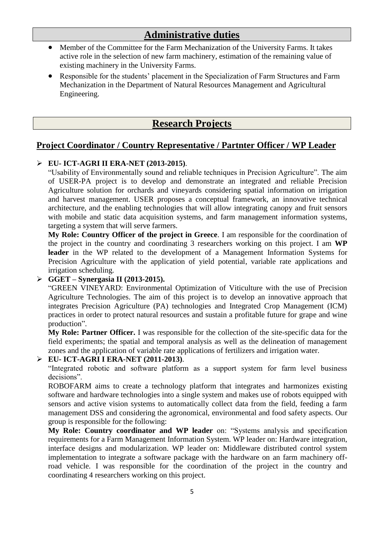# **Administrative duties**

- Member of the Committee for the Farm Mechanization of the University Farms. It takes active role in the selection of new farm machinery, estimation of the remaining value of existing machinery in the University Farms.
- Responsible for the students' placement in the Specialization of Farm Structures and Farm Mechanization in the Department of Natural Resources Management and Agricultural Engineering.

# **Research Projects**

# **Project Coordinator / Country Representative / Partnter Officer / WP Leader**

#### **EU- ICT-AGRI II ERA-NET (2013-2015)**.

"Usability of Environmentally sound and reliable techniques in Precision Agriculture". The aim of USER-PA project is to develop and demonstrate an integrated and reliable Precision Agriculture solution for orchards and vineyards considering spatial information on irrigation and harvest management. USER proposes a conceptual framework, an innovative technical architecture, and the enabling technologies that will allow integrating canopy and fruit sensors with mobile and static data acquisition systems, and farm management information systems, targeting a system that will serve farmers.

**My Role: Country Officer of the project in Greece**. I am responsible for the coordination of the project in the country and coordinating 3 researchers working on this project. I am **WP leader** in the WP related to the development of a Management Information Systems for Precision Agriculture with the application of yield potential, variable rate applications and irrigation scheduling.

### **GGET – Synergasia II (2013-2015).**

"GREEN VINEYARD: Environmental Optimization of Viticulture with the use of Precision Agriculture Technologies. The aim of this project is to develop an innovative approach that integrates Precision Agriculture (PA) technologies and Integrated Crop Management (ICM) practices in order to protect natural resources and sustain a profitable future for grape and wine production".

**My Role: Partner Officer.** I was responsible for the collection of the site-specific data for the field experiments; the spatial and temporal analysis as well as the delineation of management zones and the application of variable rate applications of fertilizers and irrigation water.

### **EU- ICT-AGRI I ERA-NET (2011-2013)**.

"Integrated robotic and software platform as a support system for farm level business decisions".

ROBOFARM aims to create a technology platform that integrates and harmonizes existing software and hardware technologies into a single system and makes use of robots equipped with sensors and active vision systems to automatically collect data from the field, feeding a farm management DSS and considering the agronomical, environmental and food safety aspects. Our group is responsible for the following:

**My Role: Country coordinator and WP leader** on: "Systems analysis and specification requirements for a Farm Management Information System. WP leader on: Hardware integration, interface designs and modularization. WP leader on: Middleware distributed control system implementation to integrate a software package with the hardware on an farm machinery offroad vehicle. I was responsible for the coordination of the project in the country and coordinating 4 researchers working on this project.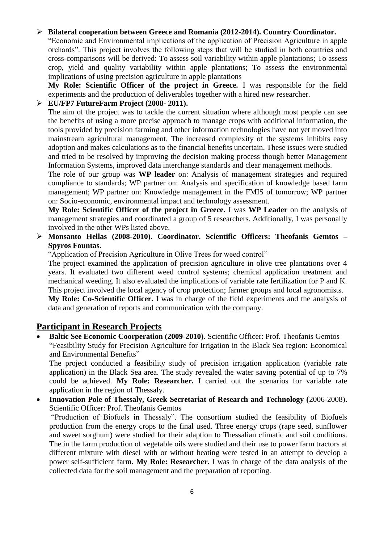### **Bilateral cooperation between Greece and Romania (2012-2014). Country Coordinator.**

"Economic and Environmental implications of the application of Precision Agriculture in apple orchards". This project involves the following steps that will be studied in both countries and cross-comparisons will be derived: To assess soil variability within apple plantations; To assess crop, yield and quality variability within apple plantations; To assess the environmental implications of using precision agriculture in apple plantations

**My Role: Scientific Officer of the project in Greece.** I was responsible for the field experiments and the production of deliverables together with a hired new researcher.

#### **EU/FP7 FutureFarm Project (2008- 2011).**

The aim of the project was to tackle the current situation where although most people can see the benefits of using a more precise approach to manage crops with additional information, the tools provided by precision farming and other information technologies have not yet moved into mainstream agricultural management. The increased complexity of the systems inhibits easy adoption and makes calculations as to the financial benefits uncertain. These issues were studied and tried to be resolved by improving the decision making process though better Management Information Systems, improved data interchange standards and clear management methods.

The role of our group was **WP leader** on: Analysis of management strategies and required compliance to standards; WP partner on: Analysis and specification of knowledge based farm management; WP partner on: Knowledge management in the FMIS of tomorrow; WP partner on: Socio-economic, environmental impact and technology assessment.

**My Role: Scientific Officer of the project in Greece.** I was **WP Leader** on the analysis of management strategies and coordinated a group of 5 researchers. Additionally, I was personally involved in the other WPs listed above.

### **Monsanto Hellas (2008-2010). Coordinator. Scientific Officers: Theofanis Gemtos – Spyros Fountas.**

"Application of Precision Agriculture in Olive Trees for weed control"

The project examined the application of precision agriculture in olive tree plantations over 4 years. It evaluated two different weed control systems; chemical application treatment and mechanical weeding. It also evaluated the implications of variable rate fertilization for P and K. This project involved the local agency of crop protection; farmer groups and local agronomists.

**My Role: Co-Scientific Officer.** I was in charge of the field experiments and the analysis of data and generation of reports and communication with the company.

## **Participant in Research Projects**

 **Baltic See Economic Coorperation (2009-2010).** Scientific Officer: Prof. Theofanis Gemtos "Feasibility Study for Precision Agriculture for Irrigation in the Black Sea region: Economical and Environmental Benefits"

The project conducted a feasibility study of precision irrigation application (variable rate application) in the Black Sea area. The study revealed the water saving potential of up to 7% could be achieved. **My Role: Researcher.** I carried out the scenarios for variable rate application in the region of Thessaly.

 **Innovation Pole of Thessaly, Greek Secretariat of Research and Technology (**2006-2008)**.**  Scientific Officer: Prof. Theofanis Gemtos

"Production of Biofuels in Thessaly". The consortium studied the feasibility of Biofuels production from the energy crops to the final used. Three energy crops (rape seed, sunflower and sweet sorghum) were studied for their adaption to Thessalian climatic and soil conditions. The in the farm production of vegetable oils were studied and their use to power farm tractors at different mixture with diesel with or without heating were tested in an attempt to develop a power self-sufficient farm. **My Role: Researcher.** I was in charge of the data analysis of the collected data for the soil management and the preparation of reporting.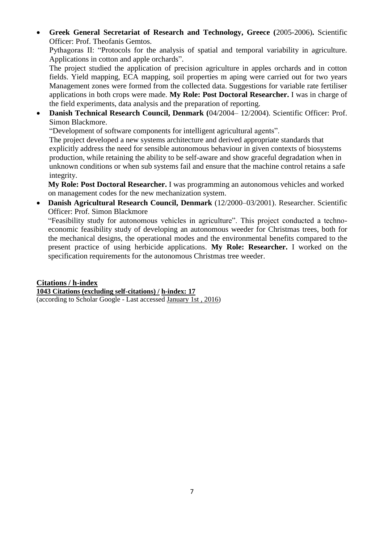**Greek General Secretariat of Research and Technology, Greece (**2005-2006)**.** Scientific Officer: Prof. Theofanis Gemtos.

Pythagoras II: "Protocols for the analysis of spatial and temporal variability in agriculture. Applications in cotton and apple orchards".

The project studied the application of precision agriculture in apples orchards and in cotton fields. Yield mapping, ECA mapping, soil properties m aping were carried out for two years Management zones were formed from the collected data. Suggestions for variable rate fertiliser applications in both crops were made. **My Role: Post Doctoral Researcher.** I was in charge of the field experiments, data analysis and the preparation of reporting.

 **Danish Technical Research Council, Denmark (**04/2004– 12/2004). Scientific Officer: Prof. Simon Blackmore.

"Development of software components for intelligent agricultural agents".

The project developed a new systems architecture and derived appropriate standards that explicitly address the need for sensible autonomous behaviour in given contexts of biosystems production, while retaining the ability to be self-aware and show graceful degradation when in unknown conditions or when sub systems fail and ensure that the machine control retains a safe integrity.

**My Role: Post Doctoral Researcher.** I was programming an autonomous vehicles and worked on management codes for the new mechanization system.

 **Danish Agricultural Research Council, Denmark** (12/2000–03/2001). Researcher. Scientific Officer: Prof. Simon Blackmore

"Feasibility study for autonomous vehicles in agriculture". This project conducted a technoeconomic feasibility study of developing an autonomous weeder for Christmas trees, both for the mechanical designs, the operational modes and the environmental benefits compared to the present practice of using herbicide applications. **My Role: Researcher.** I worked on the specification requirements for the autonomous Christmas tree weeder.

**Citations / h-index 1043 Citations (excluding self-citations) / h-index: 17** (according to Scholar Google - Last accessed January 1st , 2016)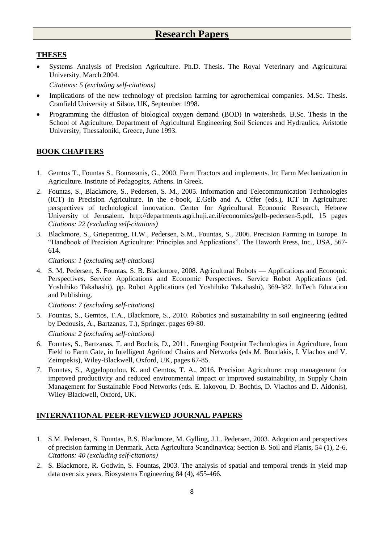### **THESES**

 Systems Analysis of Precision Agriculture. Ph.D. Thesis. The Royal Veterinary and Agricultural University, March 2004.

*Citations: 5 (excluding self-citations)*

- Implications of the new technology of precision farming for agrochemical companies. M.Sc. Thesis. Cranfield University at Silsoe, UK, September 1998.
- Programming the diffusion of biological oxygen demand (BOD) in watersheds. B.Sc. Thesis in the School of Agriculture, Department of Agricultural Engineering Soil Sciences and Hydraulics, Aristotle University, Thessaloniki, Greece, June 1993.

#### **BOOK CHAPTERS**

- 1. Gemtos T., Fountas S., Bourazanis, G., 2000. Farm Tractors and implements. In: Farm Mechanization in Agriculture. Institute of Pedagogics, Athens. In Greek.
- 2. Fountas, S., Blackmore, S., Pedersen, S. M., 2005. Information and Telecommunication Technologies (ICT) in Precision Agriculture. In the e-book, E.Gelb and A. Offer (eds.), ICT in Agriculture: perspectives of technological innovation. Center for Agricultural Economic Research, Hebrew University of Jerusalem. http://departments.agri.huji.ac.il/economics/gelb-pedersen-5.pdf, 15 pages *Citations: 22 (excluding self-citations)*
- 3. Blackmore, S., Griepentrog, H.W., Pedersen, S.M., Fountas, S., 2006. Precision Farming in Europe. In "Handbook of Precision Agriculture: Principles and Applications". The Haworth Press, Inc., USA, 567- 614.

*Citations: 1 (excluding self-citations)*

4. S. M. Pedersen, S. Fountas, S. B. Blackmore, 2008. Agricultural Robots –– Applications and Economic Perspectives. Service Applications and Economic Perspectives. Service Robot Applications (ed. Yoshihiko Takahashi), pp. Robot Applications (ed Yoshihiko Takahashi), 369-382. InTech Education and Publishing.

*Citations: 7 (excluding self-citations)*

5. Fountas, S., Gemtos, T.A., Blackmore, S., 2010. Robotics and sustainability in soil engineering (edited by Dedousis, A., Bartzanas, T.), Springer. pages 69-80.

*Citations: 2 (excluding self-citations)*

- 6. Fountas, S., Bartzanas, T. and Bochtis, D., 2011. Emerging Footprint Technologies in Agriculture, from Field to Farm Gate, in Intelligent Agrifood Chains and Networks (eds M. Bourlakis, I. Vlachos and V. Zeimpekis), Wiley-Blackwell, Oxford, UK, pages 67-85.
- 7. Fountas, S., Aggelopoulou, K. and Gemtos, T. A., 2016. Precision Agriculture: crop management for improved productivity and reduced environmental impact or improved sustainability, in Supply Chain Management for Sustainable Food Networks (eds. E. Iakovou, D. Bochtis, D. Vlachos and D. Aidonis), Wiley-Blackwell, Oxford, UK.

## **INTERNATIONAL PEER-REVIEWED JOURNAL PAPERS**

- 1. S.M. Pedersen, S. Fountas, B.S. Blackmore, M. Gylling, J.L. Pedersen, 2003. Adoption and perspectives of precision farming in Denmark. Acta Agricultura Scandinavica; Section B. Soil and Plants, 54 (1), 2-6. *Citations: 40 (excluding self-citations)*
- 2. S. Blackmore, R. Godwin, S. Fountas, 2003. The analysis of spatial and temporal trends in yield map data over six years. Biosystems Engineering 84 (4), 455-466.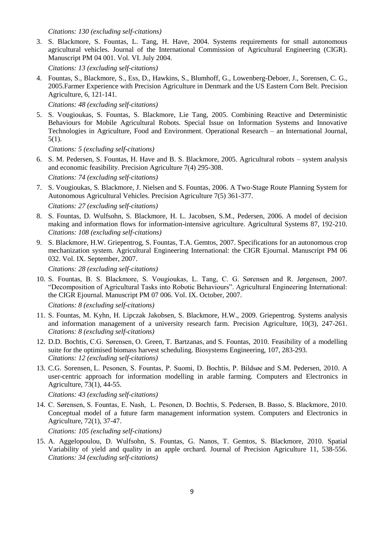*Citations: 130 (excluding self-citations)*

3. S. Blackmore, S. Fountas, L. Tang, H. Have, 2004. Systems requirements for small autonomous agricultural vehicles. Journal of the International Commission of Agricultural Engineering (CIGR). Manuscript PM 04 001. Vol. VI. July 2004.

*Citations: 13 (excluding self-citations)*

4. Fountas, S., Blackmore, S., Ess, D., Hawkins, S., Blumhoff, G., Lowenberg-Deboer, J., Sorensen, C. G., 2005.Farmer Experience with Precision Agriculture in Denmark and the US Eastern Corn Belt. Precision Agriculture, 6, 121-141.

*Citations: 48 (excluding self-citations)*

5. S. Vougioukas, S. Fountas, S. Blackmore, Lie Tang, 2005. Combining Reactive and Deterministic Behaviours for Mobile Agricultural Robots. Special Issue on [Information Systems and Innovative](http://www.ergasya.tuc.gr/orij/v5n1.htm)  [Technologies in Agriculture, Food and Environment.](http://www.ergasya.tuc.gr/orij/v5n1.htm) Operational Research – an International Journal, 5(1).

*Citations: 5 (excluding self-citations)*

6. S. M. Pedersen, S. Fountas, H. Have and B. S. Blackmore, 2005. Agricultural robots – system analysis and economic feasibility. Precision Agriculture 7(4) 295-308.

*Citations: 74 (excluding self-citations)*

7. S. Vougioukas, S. Blackmore, J. Nielsen and S. Fountas, 2006. A Two-Stage Route Planning System for Autonomous Agricultural Vehicles. Precision Agriculture 7(5) 361-377.

*Citations: 27 (excluding self-citations)*

- 8. S. Fountas, D. Wulfsohn, S. Blackmore, H. L. Jacobsen, S.M., Pedersen, 2006. A model of decision making and information flows for information-intensive agriculture. Agricultural Systems 87, 192-210. *Citations: 108 (excluding self-citations)*
- 9. S. Blackmore, H.W. Griepentrog, S. Fountas, T.A. Gemtos, 2007. Specifications for an autonomous crop mechanization system. Agricultural Engineering International: the CIGR Ejournal. Manuscript PM 06 032. Vol. IX. September, 2007.

*Citations: 28 (excluding self-citations)*

10. S. Fountas, B. S. Blackmore, S. Vougioukas, L. Tang, C. G. Sørensen and R. Jørgensen, 2007. "Decomposition of Agricultural Tasks into Robotic Behaviours". Agricultural Engineering International: the CIGR Ejournal. Manuscript PM 07 006. Vol. IX. October, 2007.

*Citations: 8 (excluding self-citations)*

- 11. S. Fountas, M. Kyhn, H. Lipczak Jakobsen, S. Blackmore, H.W., 2009. Griepentrog. Systems analysis and information management of a university research farm. Precision Agriculture, 10(3), 247-261. *Citations: 8 (excluding self-citations)*
- 12. D.D. Bochtis, C.G. Sørensen, O. Green, T. Bartzanas, and S. Fountas, 2010. Feasibility of a modelling suite for the optimised biomass harvest scheduling. Biosystems Engineering, 107, 283-293. *Citations: 12 (excluding self-citations)*
- 13. C.G. Sorensen, L. Pesonen, S. Fountas, P. Suomi, D. Bochtis, P. Bildsøe and S.M. Pedersen, 2010. A user-centric approach for information modelling in arable farming. [Computers and Electronics in](http://www.sciencedirect.com/science/journal/01681699)  [Agriculture,](http://www.sciencedirect.com/science/journal/01681699) 73(1), 44-55.

*Citations: 43 (excluding self-citations)*

14. C. Sørensen, S. Fountas, E. Nash, L. Pesonen, D. Bochtis, S. Pedersen, B. Basso, S. Blackmore, 2010. Conceptual model of a future farm management information system. Computers and Electronics in Agriculture, 72(1), 37-47.

*Citations: 105 (excluding self-citations)*

15. A. Aggelopoulou, D. Wulfsohn, S. Fountas, G. Nanos, T. Gemtos, S. Blackmore, 2010. Spatial Variability of yield and quality in an apple orchard. Journal of Precision Agriculture 11, 538-556. *Citations: 34 (excluding self-citations)*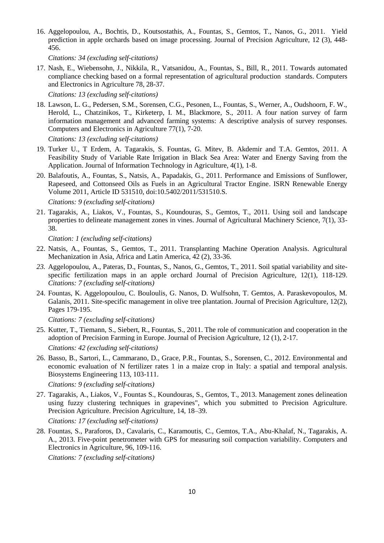16. Aggelopoulou, A., Bochtis, D., Koutsostathis, A., Fountas, S., Gemtos, T., Nanos, G., 2011. Yield prediction in apple orchards based on image processing. Journal of Precision Agriculture, 12 (3), 448- 456.

*Citations: 34 (excluding self-citations)*

17. Nash, E., Wiebensohn, J., Nikkila, R., Vatsanidou, A., Fountas, S., Bill, R., 2011. Towards automated compliance checking based on a formal representation of agricultural production standards. Computers and Electronics in Agriculture 78, 28-37.

*Citations: 13 (excluding self-citations)*

18. Lawson, L. G., Pedersen, S.M., Sorensen, C.G., Pesonen, L., Fountas, S., Werner, A., Oudshoorn, F. W., Herold, L., Chatzinikos, T., Kirketerp, I. M., Blackmore, S., 2011. A four nation survey of farm information management and advanced farming systems: A descriptive analysis of survey responses. Computers and Electronics in Agriculture 77(1), 7-20.

*Citations: 13 (excluding self-citations)*

- 19. Turker U., T Erdem, A. Tagarakis, S. Fountas, G. Mitev, B. Akdemir and T.A. Gemtos, 2011. A Feasibility Study of Variable Rate Irrigation in Black Sea Area: Water and Energy Saving from the Application. Journal of Information Technology in Agriculture, 4(1), 1-8.
- 20. Balafoutis, A., Fountas, S., Natsis, A., Papadakis, G., 2011. Performance and Emissions of Sunflower, Rapeseed, and Cottonseed Oils as Fuels in an Agricultural Tractor Engine. ISRN Renewable Energy Volume 2011, Article ID 531510, doi:10.5402/2011/531510.S.

*Citations: 9 (excluding self-citations)*

21. Tagarakis, A., Liakos, V., Fountas, S., Koundouras, S., Gemtos, T., 2011. Using soil and landscape properties to delineate management zones in vines. Journal of Agricultural Machinery Science, 7(1), 33- 38.

*Citation: 1 (excluding self-citations)*

- 22. Natsis, A., Fountas, S., Gemtos, T., 2011. Transplanting Machine Operation Analysis. Agricultural Mechanization in Asia, Africa and Latin America, 42 (2), 33-36.
- *23.* Aggelopoulou, A., Pateras, D., Fountas, S., Nanos, G., Gemtos, T., 2011. [Soil spatial variability and site](https://scholar.google.gr/citations?view_op=view_citation&hl=el&user=VmMOpRUAAAAJ&cstart=20&sortby=pubdate&citation_for_view=VmMOpRUAAAAJ:hFOr9nPyWt4C)[specific fertilization maps in an apple orchard](https://scholar.google.gr/citations?view_op=view_citation&hl=el&user=VmMOpRUAAAAJ&cstart=20&sortby=pubdate&citation_for_view=VmMOpRUAAAAJ:hFOr9nPyWt4C) Journal of Precision Agriculture, 12(1), 118-129. *Citations: 7 (excluding self-citations)*
- 24. Fountas, K. Aggelopoulou, C. Bouloulis, G. Nanos, D. Wulfsohn, T. Gemtos, A. Paraskevopoulos, M. Galanis, 2011. Site-specific management in olive tree plantation. Journal of Precision Agriculture, 12(2), Pages 179-195.

*Citations: 7 (excluding self-citations)*

- 25. Kutter, T., Tiemann, S., Siebert, R., Fountas, S., 2011. The role of communication and cooperation in the adoption of Precision Farming in Europe. Journal of Precision Agriculture, 12 (1), 2-17. *Citations: 42 (excluding self-citations)*
- 26. Basso, B., Sartori, L., Cammarano, D., Grace, P.R., Fountas, S., Sorensen, C., 2012. Environmental and economic evaluation of N fertilizer rates 1 in a maize crop in Italy: a spatial and temporal analysis. Biosystems Engineering 113, 103-111.

*Citations: 9 (excluding self-citations)*

27. Tagarakis, A., Liakos, V., Fountas S., Koundouras, S., Gemtos, T., 2013. Management zones delineation using fuzzy clustering techniques in grapevines", which you submitted to Precision Agriculture. Precision Agriculture. Precision Agriculture, 14, 18–39.

*Citations: 17 (excluding self-citations)*

28. Fountas, S., Paraforos, D., Cavalaris, C., Karamoutis, C., Gemtos, T.A., Abu-Khalaf, N., Tagarakis, A. A., 2013. Five-point penetrometer with GPS for measuring soil compaction variability. Computers and Electronics in Agriculture, 96, 109-116.

*Citations: 7 (excluding self-citations)*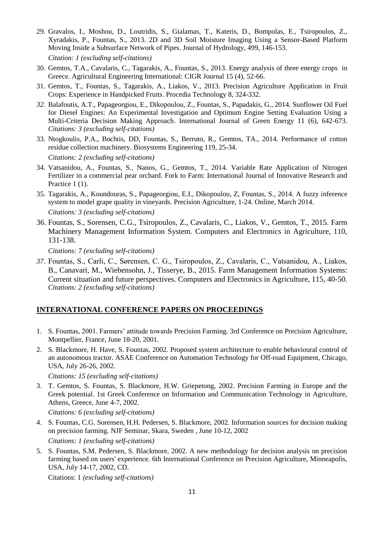- 29. Gravalos, I., Moshou, D., Loutridis, S., Gialamas, T., Kateris, D., Bompolas, E., Tsiropoulos, Z., Xyradakis, P., Fountas, S., 2013. 2D and 3D Soil Moisture Imaging Using a Sensor-Based Platform Moving Inside a Subsurface Network of Pipes. [Journal of Hydrology,](http://www.sciencedirect.com/science/journal/00221694) 499, 146-153. *Citation: 1 (excluding self-citations)*
- 30. Gemtos, T.A., Cavalaris, C., Tagarakis, A., Fountas, S., 2013. [Energy analysis of three energy crops](http://scholar.google.com/citations?view_op=view_citation&hl=el&user=VmMOpRUAAAAJ&sortby=pubdate&citation_for_view=VmMOpRUAAAAJ:tS2w5q8j5-wC) in [Greece.](http://scholar.google.com/citations?view_op=view_citation&hl=el&user=VmMOpRUAAAAJ&sortby=pubdate&citation_for_view=VmMOpRUAAAAJ:tS2w5q8j5-wC) Agricultural Engineering International: CIGR Journal 15 (4), 52-66.
- 31. Gemtos, T., Fountas, S., Tagarakis, A., Liakos, V., 2013. [Precision Agriculture Application in Fruit](http://scholar.google.com/citations?view_op=view_citation&hl=el&user=VmMOpRUAAAAJ&sortby=pubdate&citation_for_view=VmMOpRUAAAAJ:vRqMK49ujn8C)  [Crops: Experience in Handpicked Fruits.](http://scholar.google.com/citations?view_op=view_citation&hl=el&user=VmMOpRUAAAAJ&sortby=pubdate&citation_for_view=VmMOpRUAAAAJ:vRqMK49ujn8C) Procedia Technology 8, 324-332.
- *32.* Balafoutis, A.T., Papageorgiou, E., Dikopoulou, Z., Fountas, S., Papadakis, G., 2014. [Sunflower Oil Fuel](http://scholar.google.com/citations?view_op=view_citation&hl=el&user=VmMOpRUAAAAJ&sortby=pubdate&citation_for_view=VmMOpRUAAAAJ:Tiz5es2fbqcC)  [for Diesel Engines: An Experimental Investigation and Optimum Engine Setting Evaluation Using a](http://scholar.google.com/citations?view_op=view_citation&hl=el&user=VmMOpRUAAAAJ&sortby=pubdate&citation_for_view=VmMOpRUAAAAJ:Tiz5es2fbqcC)  [Multi-Criteria Decision Making Approach.](http://scholar.google.com/citations?view_op=view_citation&hl=el&user=VmMOpRUAAAAJ&sortby=pubdate&citation_for_view=VmMOpRUAAAAJ:Tiz5es2fbqcC) International Journal of Green Energy 11 (6), 642-673. *Citations: 3 (excluding self-citations)*
- 33. Ntogkoulis, P.A., Bochtis, DD, Fountas, S., Berruto, R., Gemtos, TA., 2014. [Performance of cotton](http://scholar.google.com/citations?view_op=view_citation&hl=el&user=VmMOpRUAAAAJ&sortby=pubdate&citation_for_view=VmMOpRUAAAAJ:4fKUyHm3Qg0C)  [residue collection machinery.](http://scholar.google.com/citations?view_op=view_citation&hl=el&user=VmMOpRUAAAAJ&sortby=pubdate&citation_for_view=VmMOpRUAAAAJ:4fKUyHm3Qg0C) Biosystems Engineering 119, 25-34.

*Citations: 2 (excluding self-citations)*

- 34. Vatsanidou, A., Fountas, S., Nanos, G., Gemtos, T., 2014. [Variable Rate Application of Nitrogen](http://scholar.google.com/citations?view_op=view_citation&hl=el&user=VmMOpRUAAAAJ&sortby=pubdate&citation_for_view=VmMOpRUAAAAJ:B3FOqHPlNUQC)  [Fertilizer in a commercial pear orchard.](http://scholar.google.com/citations?view_op=view_citation&hl=el&user=VmMOpRUAAAAJ&sortby=pubdate&citation_for_view=VmMOpRUAAAAJ:B3FOqHPlNUQC) Fork to Farm: International Journal of Innovative Research and Practice 1 (1).
- 35. Tagarakis, A., Koundouras, S., Papageorgiou, E.I., Dikopoulou, Z, Fountas, S., 2014. [A fuzzy inference](http://scholar.google.com/citations?view_op=view_citation&hl=el&user=VmMOpRUAAAAJ&sortby=pubdate&citation_for_view=VmMOpRUAAAAJ:geHnlv5EZngC)  [system to model grape quality in vineyards.](http://scholar.google.com/citations?view_op=view_citation&hl=el&user=VmMOpRUAAAAJ&sortby=pubdate&citation_for_view=VmMOpRUAAAAJ:geHnlv5EZngC) Precision Agriculture, 1-24. Online, March 2014. *Citations: 3 (excluding self-citations)*
- 36. Fountas, S., Sorensen, C.G., Tsiropoulos, Z., Cavalaris, C., Liakos, V., Gemtos, T., 2015. Farm Machinery Management Information System. Computers and Electronics in Agriculture, 110, 131-138.

*Citations: 7 (excluding self-citations)*

*37.* Fountas, S., Carli, C., Sørensen, C. G., Tsiropoulos, Z., Cavalaris, C., Vatsanidou, A., Liakos, B., Canavari, M., Wiebensohn, J., Tisserye, B., 2015. Farm Management Information Systems: Current situation and future perspectives. Computers and Electronics in Agriculture, 115, 40-50. *Citations: 2 (excluding self-citations)*

#### **INTERNATIONAL CONFERENCE PAPERS ON PROCEEDINGS**

- 1. S. Fountas, 2001. Farmers' attitude towards Precision Farming. 3rd Conference on Precision Agriculture, Montpellier, France, June 18-20, 2001.
- 2. S. Blackmore, H. Have, S. Fountas, 2002. Proposed system architecture to enable behavioural control of an autonomous tractor. ASAE Conference on Automation Technology for Off-road Equipment, Chicago, USA, July 26-26, 2002.

*Citations: 15 (excluding self-citations)*

3. T. Gemtos, S. Fountas, S. Blackmore, H.W. Griepetong, 2002. Precision Farming in Europe and the Greek potential. 1st Greek Conference on Information and Communication Technology in Agriculture, Athens, Greece, June 4-7, 2002.

*Citations: 6 (excluding self-citations)*

- 4. S. Fountas, C.G. Sorensen, H.H. Pedersen, S. Blackmore, 2002. Information sources for decision making on precision farming. NJF Seminar, Skara, Sweden , June 10-12, 2002 *Citations: 1 (excluding self-citations)*
- 5. S. Fountas, S.M. Pedersen, S. Blackmore, 2002. A new methodology for decision analysis on precision farming based on users' experience. 6th International Conference on Precision Agriculture, Minneapolis, USA, July 14-17, 2002, CD.

Citations: 1 *(excluding self-citations)*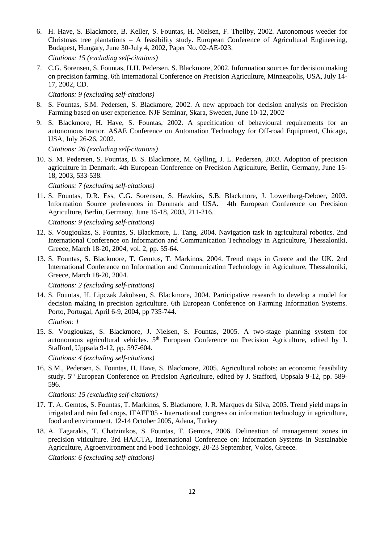6. H. Have, S. Blackmore, B. Keller, S. Fountas, H. Nielsen, F. Theilby, 2002. Autonomous weeder for Christmas tree plantations – A feasibility study. European Conference of Agricultural Engineering, Budapest, Hungary, June 30-July 4, 2002, Paper No. 02-AE-023.

*Citations: 15 (excluding self-citations)*

7. C.G. Sorensen, S. Fountas, H.H. Pedersen, S. Blackmore, 2002. Information sources for decision making on precision farming. 6th International Conference on Precision Agriculture, Minneapolis, USA, July 14- 17, 2002, CD.

*Citations: 9 (excluding self-citations)*

- 8. S. Fountas, S.M. Pedersen, S. Blackmore, 2002. A new approach for decision analysis on Precision Farming based on user experience. NJF Seminar, Skara, Sweden, June 10-12, 2002
- 9. S. Blackmore, H. Have, S. Fountas, 2002. A specification of behavioural requirements for an autonomous tractor. ASAE Conference on Automation Technology for Off-road Equipment, Chicago, USA, July 26-26, 2002.

*Citations: 26 (excluding self-citations)*

10. S. M. Pedersen, S. Fountas, B. S. Blackmore, M. Gylling, J. L. Pedersen, 2003. Adoption of precision agriculture in Denmark. 4th European Conference on Precision Agriculture, Berlin, Germany, June 15- 18, 2003, 533-538.

*Citations: 7 (excluding self-citations)*

11. S. Fountas, D.R. Ess, C.G. Sorensen, S. Hawkins, S.B. Blackmore, J. Lowenberg-Deboer, 2003. Information Source preferences in Denmark and USA. 4th European Conference on Precision Agriculture, Berlin, Germany, June 15-18, 2003, 211-216.

*Citations: 9 (excluding self-citations)*

- 12. S. Vougioukas, S. Fountas, S. Blackmore, L. Tang, 2004. Navigation task in agricultural robotics. 2nd International Conference on Information and Communication Technology in Agriculture, Thessaloniki, Greece, March 18-20, 2004, vol. 2, pp. 55-64.
- 13. S. Fountas, S. Blackmore, T. Gemtos, T. Markinos, 2004. Trend maps in Greece and the UK. 2nd International Conference on Information and Communication Technology in Agriculture, Thessaloniki, Greece, March 18-20, 2004.

*Citations: 2 (excluding self-citations)*

14. S. Fountas, H. Lipczak Jakobsen, S. Blackmore, 2004. Participative research to develop a model for decision making in precision agriculture. 6th European Conference on Farming Information Systems. Porto, Portugal, April 6-9, 2004, pp 735-744.

*Citation: 1*

15. S. Vougioukas, S. Blackmore, J. Nielsen, S. Fountas, 2005. A two-stage planning system for autonomous agricultural vehicles. 5<sup>th</sup> European Conference on Precision Agriculture, edited by J. Stafford, Uppsala 9-12, pp. 597-604.

*Citations: 4 (excluding self-citations)*

16. S.M., Pedersen, S. Fountas, H. Have, S. Blackmore, 2005. Agricultural robots: an economic feasibility study. 5th European Conference on Precision Agriculture, edited by J. Stafford, Uppsala 9-12, pp. 589- 596.

*Citations: 15 (excluding self-citations)*

- 17. T. A. Gemtos, S. Fountas, T. Markinos, S. Blackmore, J. R. Marques da Silva, 2005. Trend yield maps in irrigated and rain fed crops. ITAFE'05 - International congress on information technology in agriculture, food and environment. 12-14 October 2005, Adana, Turkey
- 18. A. Tagarakis, T. Chatzinikos, S. Fountas, T. Gemtos, 2006. Delineation of management zones in precision viticulture. 3rd HAICTA, International Conference on: Information Systems in Sustainable Agriculture, Agroenvironment and Food Technology, 20-23 September, Volos, Greece.

*Citations: 6 (excluding self-citations)*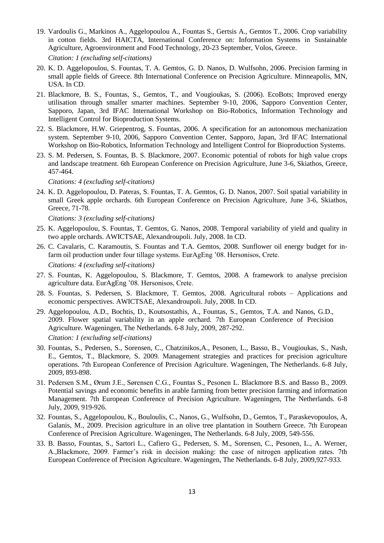- 19. Vardoulis G., Markinos A., Aggelopoulou A., Fountas S., Gertsis A., Gemtos T., 2006. Crop variability in cotton fields. 3rd HAICTA, International Conference on: Information Systems in Sustainable Agriculture, Agroenvironment and Food Technology, 20-23 September, Volos, Greece.
	- *Citation: 1 (excluding self-citations)*
- 20. K. D. Aggelopoulou, S. Fountas, T. A. Gemtos, G. D. Nanos, D. Wulfsohn, 2006. Precision farming in small apple fields of Greece. 8th International Conference on Precision Agriculture. Minneapolis, MN, USA. In CD.
- 21. Blackmore, B. S., Fountas, S., Gemtos, T., and Vougioukas, S. (2006). EcoBots; Improved energy utilisation through smaller smarter machines. September 9-10, 2006, Sapporo Convention Center, Sapporo, Japan, 3rd IFAC International Workshop on Bio-Robotics, Information Technology and Intelligent Control for Bioproduction Systems.
- 22. S. Blackmore, H.W. Griepentrog, S. Fountas, 2006. A specification for an autonomous mechanization system. September 9-10, 2006, Sapporo Convention Center, Sapporo, Japan, 3rd IFAC International Workshop on Bio-Robotics, Information Technology and Intelligent Control for Bioproduction Systems.
- 23. S. M. Pedersen, S. Fountas, B. S. Blackmore, 2007. Economic potential of robots for high value crops and landscape treatment. 6th European Conference on Precision Agriculture, June 3-6, Skiathos, Greece, 457-464.

*Citations: 4 (excluding self-citations)*

24. K. D. Aggelopoulou, D. Pateras, S. Fountas, T. A. Gemtos, G. D. Nanos, 2007. Soil spatial variability in small Greek apple orchards. 6th European Conference on Precision Agriculture, June 3-6, Skiathos, Greece, 71-78.

*Citations: 3 (excluding self-citations)*

- 25. K. Aggelopoulou, S. Fountas, T. Gemtos, G. Nanos, 2008. Τemporal variability of yield and quality in two apple orchards. AWICTSAE, Alexandroupoli. July, 2008. In CD.
- 26. C. Cavalaris, C. Karamoutis, S. Fountas and T.A. Gemtos, 2008. Sunflower oil energy budget for infarm oil production under four tillage systems. EurAgEng '08. Hersonisos, Crete. *Citations: 4 (excluding self-citations)*
- 27. S. Fountas, K. Aggelopoulou, S. Blackmore, T. Gemtos, 2008. A framework to analyse precision agriculture data. EurAgEng '08. Hersonisos, Crete.
- 28. S. Fountas, S. Pedersen, S. Blackmore, T. Gemtos, 2008. Agricultural robots Applications and economic perspectives. AWICTSAE, Alexandroupoli. July, 2008. In CD.
- 29. Aggelopoulou, A.D., Bochtis, D., Koutsostathis, A., Fountas, S., Gemtos, T.A. and Nanos, G.D., 2009. Flower spatial variability in an apple orchard. 7th European Conference of Precision Agriculture. Wageningen, The Netherlands. 6-8 July, 2009, 287-292.
	- *Citation: 1 (excluding self-citations)*
- 30. Fountas, S., Pedersen, S., Sorensen, C., Chatzinikos,A., Pesonen, L., Basso, B., Vougioukas, S., Nash, E., Gemtos, T., Blackmore, S. 2009. Μanagement strategies and practices for precision agriculture operations. 7th European Conference of Precision Agriculture. Wageningen, The Netherlands. 6-8 July, 2009, 893-898.
- 31. Pedersen S.M., Ørum J.E., Sørensen C.G., Fountas S., Pesonen L. Blackmore B.S. and Basso B., 2009. Potential savings and economic benefits in arable farming from better precision farming and information Management. 7th European Conference of Precision Agriculture. Wageningen, The Netherlands. 6-8 July, 2009, 919-926.
- 32. Fountas, S., Aggelopoulou, K., Bouloulis, C., Nanos, G., Wulfsohn, D., Gemtos, T., Paraskevopoulos, A, Galanis, M., 2009. Precision agriculture in an olive tree plantation in Southern Greece. 7th European Conference of Precision Agriculture. Wageningen, The Netherlands. 6-8 July, 2009, 549-556.
- 33. B. Basso, Fountas, S., Sartori L., Cafiero G., Pedersen, S. M., Sorensen, C., Pesonen, L., A. Werner, A.,Blackmore, 2009. Farmer's risk in decision making: the case of nitrogen application rates. 7th European Conference of Precision Agriculture. Wageningen, The Netherlands. 6-8 July, 2009,927-933.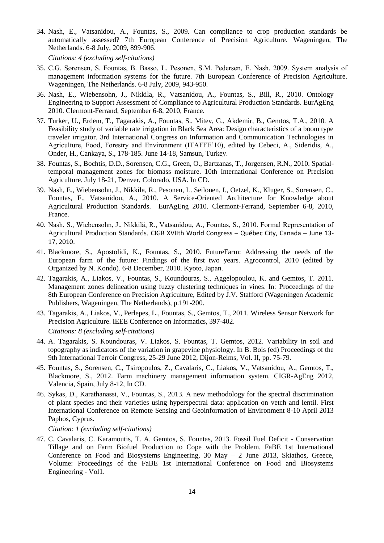34. Nash, E., Vatsanidou, A., Fountas, S., 2009. Can compliance to crop production standards be automatically assessed? 7th European Conference of Precision Agriculture. Wageningen, The Netherlands. 6-8 July, 2009, 899-906.

*Citations: 4 (excluding self-citations)*

- 35. C.G. Sørensen, S. Fountas, B. Basso, L. Pesonen, S.M. Pedersen, E. Nash, 2009. System analysis of management information systems for the future. 7th European Conference of Precision Agriculture. Wageningen, The Netherlands. 6-8 July, 2009, 943-950.
- 36. Nash, E., Wiebensohn, J., Nikkila, R., Vatsanidou, A., Fountas, S., Bill, R., 2010. Ontology Engineering to Support Assessment of Compliance to Agricultural Production Standards. EurAgEng 2010. Clermont-Ferrand, September 6-8, 2010, France.
- 37. Turker, U., Erdem, T., Tagarakis, A., Fountas, S., Mitev, G., Akdemir, B., Gemtos, T.A., 2010. A Feasibility study of variable rate irrigation in Black Sea Area: Design characteristics of a boom type traveler irrigator. 3rd International Congress on Information and Communication Technologies in Agriculture, Food, Forestry and Environment (ITAFFE'10), edited by Cebeci, A., Sideridis, A., Onder, H., Cankaya, S., 178-185. June 14-18, Samsun, Turkey.
- 38. Fountas, S., Bochtis, D.D., Sorensen, C.G., Green, O., Bartzanas, T., Jorgensen, R.N., 2010. Spatialtemporal management zones for biomass moisture. 10th International Conference on Precision Agriculture. July 18-21, Denver, Colorado, USA. In CD.
- 39. Nash, E., Wiebensohn, J., Nikkila, R., Pesonen, L. Seilonen, I., Oetzel, K., Kluger, S., Sorensen, C., Fountas, F., Vatsanidou, A., 2010. A Service-Oriented Architecture for Knowledge about Agricultural Production Standards. EurAgEng 2010. Clermont-Ferrand, September 6-8, 2010, France.
- 40. Nash, S., Wiebensohn, J., Nikkilä, R., Vatsanidou, A., Fountas, S., 2010. Formal Representation of Agricultural Production Standards. CIGR XVIIth World Congress – Québec City, Canada – June 13- 17, 2010.
- 41. Blackmore, S., Apostolidi, K., Fountas, S., 2010. FutureFarm: Addressing the needs of the European farm of the future: Findings of the first two years. Agrocontrol, 2010 (edited by Organized by N. Kondo). 6-8 December, 2010. Kyoto, Japan.
- 42. Tagarakis, A., Liakos, V., Fountas, S., Koundouras, S., Aggelopoulou, K. and Gemtos, T. 2011. Management zones delineation using fuzzy clustering techniques in vines. In: Proceedings of the 8th European Conference on Precision Agriculture, Edited by J.V. Stafford (Wageningen Academic Publishers, Wageningen, The Netherlands), p.191-200.
- 43. Tagarakis, A., Liakos, V., Perlepes, L., Fountas, S., Gemtos, T., 2011. Wireless Sensor Network for Precision Agriculture. IEEE Conference on Informatics, 397-402. *Citations: 8 (excluding self-citations)*
- 44. A. Tagarakis, S. Koundouras, V. Liakos, S. Fountas, T. Gemtos, 2012. Variability in soil and topography as indicators of the variation in grapevine physiology. In B. Bois (ed) Proceedings of the 9th International Terroir Congress, 25-29 June 2012, Dijon-Reims, Vol. II, pp. 75-79.
- 45. Fountas, S., Sorensen, C., Tsiropoulos, Z., Cavalaris, C., Liakos, V., Vatsanidou, A., Gemtos, T., Blackmore, S., 2012. Farm machinery management information system. CIGR-AgEng 2012, Valencia, Spain, July 8-12, In CD.
- 46. Sykas, D., Karathanassi, V., Fountas, S., 2013. A new methodology for the spectral discrimination of plant species and their varieties using hyperspectral data: application on vetch and lentil. [First](http://www.cyprusremotesensing.com/rscy2013/)  [International Conference on Remote Sensing and Geoinformation of Environment 8-10 April 2013](http://www.cyprusremotesensing.com/rscy2013/)  Paphos, [Cyprus.](http://www.cyprusremotesensing.com/rscy2013/)

*Citation: 1 (excluding self-citations)*

47. C. Cavalaris, C. Karamoutis, T. A. Gemtos, S. Fountas, 2013. Fossil Fuel Deficit - Conservation Tillage and on Farm Biofuel Production to Cope with the Problem. FaBE 1st International Conference on Food and Biosystems Engineering, 30 May – 2 June 2013, Skiathos, Greece, Volume: Proceedings of the FaBE 1st International Conference on Food and Biosystems Engineering - Vol1.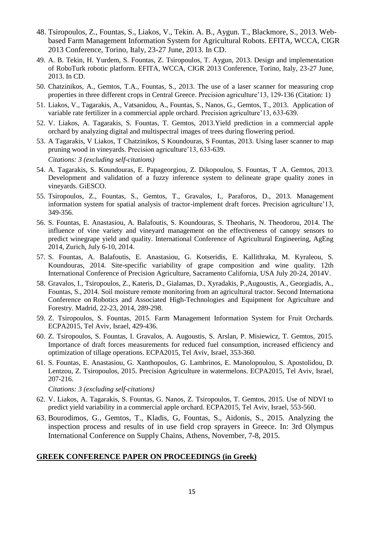- 48. Tsiropoulos, Z., Fountas, S., Liakos, V., Tekin. A. B., Aygun. T., Blackmore, S., 2013. Webbased Farm Management Information System for Agricultural Robots. EFITA, WCCA, CIGR 2013 Conference, Torino, Italy, 23-27 June, 2013. In CD.
- 49. A. B. Tekin, H. Yurdem, S. Fountas, Z. Tsiropoulos, T. Aygun, 2013. Design and implementation of RoboTurk robotic platform. EFITA, WCCA, CIGR 2013 Conference, Torino, Italy, 23-27 June, 2013. In CD.
- 50. Chatzinikos, A., Gemtos, T.A., Fountas, S., 2013. [The use of a laser scanner for measuring crop](http://scholar.google.com/citations?view_op=view_citation&hl=el&user=VmMOpRUAAAAJ&sortby=pubdate&citation_for_view=VmMOpRUAAAAJ:tOudhMTPpwUC)  [properties in three different crops in Central Greece.](http://scholar.google.com/citations?view_op=view_citation&hl=el&user=VmMOpRUAAAAJ&sortby=pubdate&citation_for_view=VmMOpRUAAAAJ:tOudhMTPpwUC) Precision agriculture'13, 129-136 (Citation: 1)
- 51. Liakos, V., Tagarakis, A., Vatsanidou, A., Fountas, S., Nanos, G., Gemtos, T., 2013. [Application of](http://scholar.google.com/citations?view_op=view_citation&hl=el&user=VmMOpRUAAAAJ&sortby=pubdate&citation_for_view=VmMOpRUAAAAJ:738O_yMBCRsC)  [variable rate fertilizer in a commercial apple orchard.](http://scholar.google.com/citations?view_op=view_citation&hl=el&user=VmMOpRUAAAAJ&sortby=pubdate&citation_for_view=VmMOpRUAAAAJ:738O_yMBCRsC) Precision agriculture'13, 633-639.
- 52. V. Liakos, A. Tagarakis, S. Fountas, T. Gemtos, 2013.Yield prediction in a commercial apple orchard by analyzing digital and multispectral images of trees during flowering period.
- 53. A Tagarakis, V Liakos, T Chatzinikos, S Koundouras, S Fountas, 2013. [Using laser scanner to map](http://scholar.google.com/citations?view_op=view_citation&hl=el&user=VmMOpRUAAAAJ&sortby=pubdate&citation_for_view=VmMOpRUAAAAJ:K3LRdlH-MEoC)  [pruning wood in vineyards.](http://scholar.google.com/citations?view_op=view_citation&hl=el&user=VmMOpRUAAAAJ&sortby=pubdate&citation_for_view=VmMOpRUAAAAJ:K3LRdlH-MEoC) Precision agriculture'13, 633-639. *Citations: 3 (excluding self-citations)*
- 54. A. Tagarakis, S. Koundouras, E. Papageorgiou, Z. Dikopoulou, S. Fountas, T .A. Gemtos, 2013. Development and validation of a fuzzy inference system to delineate grape quality zones in vineyards. GiESCO.
- 55. Tsiropoulos, Z., Fountas, S., Gemtos, T., Gravalos, I., Paraforos, D., 2013. [Management](http://scholar.google.com/citations?view_op=view_citation&hl=el&user=VmMOpRUAAAAJ&sortby=pubdate&citation_for_view=VmMOpRUAAAAJ:l7t_Zn2s7bgC)  [information system for spatial analysis of tractor-implement draft forces.](http://scholar.google.com/citations?view_op=view_citation&hl=el&user=VmMOpRUAAAAJ&sortby=pubdate&citation_for_view=VmMOpRUAAAAJ:l7t_Zn2s7bgC) Precision agriculture'13, 349-356.
- 56. S. Fountas, E. Anastasiou, A. Balafoutis, S. Koundouras, S. Theoharis, N. Theodorou, 2014. The influence of vine variety and vineyard management on the effectiveness of canopy sensors to predict winegrape yield and quality. International Conference of Agricultural Engineering, AgEng 2014, Zurich, July 6-10, 2014.
- 57. S. Fountas, A. Balafoutis, E. Anastasiou, G. Kotseridis, E. Kallithraka, M. Kyraleou, S. Koundouras, 2014. Site-specific variability of grape composition and wine quality. 12th International Conference of Precision Agriculture, Sacramento California, USA July 20-24, 2014V.
- 58. Gravalos, I., Tsiropoulos, Z., Kateris, D., Gialamas, D., Xyradakis, P.,Augoustis, A., Georgiadis, A., Fountas, S., 2014. Soil moisture remote monitoring from an agricultural tractor. Second Internationa Conference on Robotics and Associated High-Technologies and Equipment for Agriculture and Forestry. Madrid, 22-23, 2014, 289-298.
- 59. Z. Tsiropoulos, S. Fountas, 2015. Farm Management Information System for Fruit Orchards. ECPA2015, Tel Aviv, Israel, 429-436.
- 60. Z. Tsiropoulos, S. Fountas, I. Gravalos, A. Augoustis, S. Arslan, P. Misiewicz, T. Gemtos, 2015. Importance of draft forces measurements for reduced fuel consumption, increased efficiency and optimization of tillage operations. ECPA2015, Tel Aviv, Israel, 353-360.
- 61. S. Fountas, E. Anastasiou, G. Xanthopoulos, G. Lambrinos, E. Manolopoulou, S. Apostolidou, D. Lentzou, Z. Tsiropoulos, 2015. Precision Agriculture in watermelons. ECPA2015, Tel Aviv, Israel, 207-216.

*Citations: 3 (excluding self-citations)*

- 62. V. Liakos, A. Tagarakis, S. Fountas, G. Nanos, Z. Tsiropoulos, T. Gemtos, 2015. Use of NDVI to predict yield variability in a commercial apple orchard. ECPA2015, Tel Aviv, Israel, 553-560.
- 63. Bourodimos, G., Gemtos, T., Kladis, G, Fountas, S., Aidonis, S., 2015. Analyzing the inspection process and results of in use field crop sprayers in Greece. In: 3rd Olympus International Conference on Supply Chains, Athens, November, 7-8, 2015.

#### **GREEK CONFERENCE PAPER ON PROCEEDINGS (in Greek)**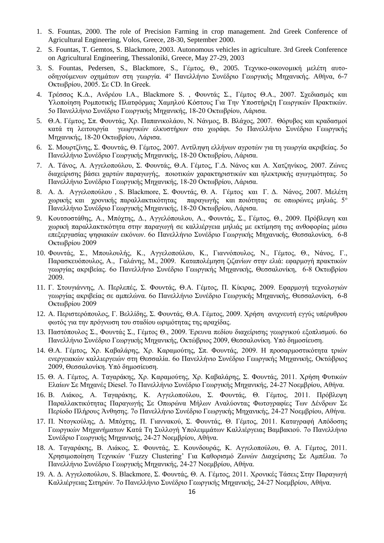- 1. S. Fountas, 2000. The role of Precision Farming in crop management. 2nd Greek Conference of Agricultural Engineering, Volos, Greece, 28-30, September 2000.
- 2. S. Fountas, T. Gemtos, S. Blackmore, 2003. Autonomous vehicles in agriculture. 3rd Greek Conference on Agricultural Engineering, Thessaloniki, Greece, May 27-29, 2003
- 3. S. Fountas, Pedersen, S., Blackmore, S., Γέμτος, Θ., 2005. Τεχνικο-οικονομική μελέτη αυτοοδηγούμενων οχημάτων στη γεωργία. 4<sup>ο</sup> Πανελλήνιο Συνέδριο Γεωργικής Μηχανικής. Αθήνα, 6-7 Οκτωβρίου, 2005. Σε CD. In Greek.
- 4. Τρέσσος Κ.Δ., Ανδρέου Ι.Α., Blackmore S. , Φουντάς Σ., Γέμτος Θ.Α., 2007. Σχεδιασμός και Υλοποίηση Ρομποτικής Πλατφόρμας Χαμηλού Κόστους Για Την Υποστήριξη Γεωργικών Πρακτικών. 5ο Πανελλήνιο Συνέδριο Γεωργικής Μηχανικής, 18-20 Οκτωβρίου, Λάρισα.
- 5. Θ.Α. Γέμτος, Σπ. Φουντάς, Χρ. Παπανικολάου, Ν. Νάνμος, Β. Βλάχος, 2007. Θόρυβος και κραδασμοί κατά τη λειτουργία γεωργικών ελκυστήρων στο χωράφι. 5ο Πανελλήνιο Συνέδριο Γεωργικής Μηχανικής, 18-20 Οκτωβρίου, Λάρισα.
- 6. Σ. Μουρτζίνης, Σ. Φουντάς, Θ. Γέμτος, 2007. Αντίληψη ελλήνων αγροτών για τη γεωργία ακριβείας. 5ο Πανελλήνιο Συνέδριο Γεωργικής Μηχανικής, 18-20 Οκτωβρίου, Λάρισα.
- 7. Α. Τάνος, Α. Αγγελοπούλου, Σ. Φουντάς, Θ.Α. Γέμτος, Γ.Δ. Νάνος και Α. Χατζηνίκος, 2007. Ζώνες διαχείρισης βάσει χαρτών παραγωγής, ποιοτικών χαρακτηριστικών και ηλεκτρικής αγωγιμότητας. 5ο Πανελλήνιο Συνέδριο Γεωργικής Μηχανικής, 18-20 Οκτωβρίου, Λάρισα.
- 8. Α. Δ. Αγγελοπούλου , S. Blackmore, Σ. Φουντάς, Θ. Α. Γέμτος και Γ. Δ. Νάνος, 2007. Μελέτη χωρικής και χρονικής παραλλακτικότητας παραγωγής και ποιότητας σε οπωρώνες μηλιάς. 5<sup>ο</sup> Πανελλήνιο Συνέδριο Γεωργικής Μηχανικής, 18-20 Οκτωβρίου, Λάρισα.
- 9. Κουτσοστάθης, Α., Μπόχτης, Δ., Αγγελόπουλου, Α., Φουντάς, Σ., Γέμτος, Θ., 2009. Πρόβλεψη και χωρική παραλλακτικότητα στην παραγωγή σε καλλιέργεια μηλιάς με εκτίμηση της ανθοφορίας μέσω επεξεργασίας ψηφιακών εικόνων. 6ο Πανελλήνιο Συνέδριο Γεωργικής Μηχανικής, Θεσσαλονίκη, 6-8 Οκτωβρίου 2009
- 10. Φουντάς, Σ., Μπουλουλής, Κ., Αγγελοπούλου, Κ., Γιαννόπουλος, Ν., Γέμτος, Θ., Νάνος, Γ., Παρασκευόπουλος, Α., Γαλάνης, Μ., 2009. Καταπολέμηση ζιζανίων στην ελιά: εφαρμογή πρακτικών γεωργίας ακριβείας. 6ο Πανελλήνιο Συνέδριο Γεωργικής Μηχανικής, Θεσσαλονίκη, 6-8 Οκτωβρίου 2009.
- 11. Γ. Στουγιάννης, Λ. Περλεπές, Σ. Φουντάς, Θ.Α. Γέμτος, Π. Κίκιρας, 2009. Εφαρμογή τεχνολογιών γεωργίας ακριβείας σε αμπελώνα. 6ο Πανελλήνιο Συνέδριο Γεωργικής Μηχανικής, Θεσσαλονίκη, 6-8 Οκτωβρίου 2009
- 12. Α. Περιστερόπουλος, Γ. Βελλίδης, Σ. Φουντάς, Θ.Α. Γέμτος, 2009. Χρήση ανιχνευτή εγγύς υπέρυθρου φωτός για την πρόγνωση του σταδίου ωριμότητας της αραχίδας.
- 13. Παστόπουλος Σ., Φουντάς Σ., Γέμτος Θ., 2009. Έρευνα πεδίου διαχείρισης γεωργικού εξοπλισμού. 6ο Πανελλήνιο Συνέδριο Γεωργικής Μηχανικής, Οκτώβριος 2009, Θεσσαλονίκη. Υπό δημοσίευση.
- 14. Θ.Α. Γέμτος, Χρ. Καβαλάρης, Χρ. Καραμούτης, Σπ. Φουντάς, 2009. Η προσαρμοστικότητα τριών ενεργειακών καλλιεργειών στη Θεσσαλία. 6ο Πανελλήνιο Συνέδριο Γεωργικής Μηχανικής, Οκτώβριος 2009, Θεσσαλονίκη. Υπό δημοσίευση.
- 15. Θ. Α. Γέμτος, Α. Ταγαράκης, Χρ. Καραμούτης, Χρ. Καβαλάρης, Σ. Φουντάς, 2011. Χρήση Φυτικών Ελαίων Σε Μηχανές Diesel. 7ο Πανελλήνιο Συνέδριο Γεωργικής Μηχανικής, 24-27 Νοεμβρίου, Αθήνα.
- 16. Β. Λιάκος, Α. Ταγαράκης, Κ. Αγγελοπούλου, Σ. Φουντάς, Θ. Γέμτος, 2011. Πρόβλεψη Παραλλακτικότητας Παραγωγής Σε Οπωρώνα Μήλων Αναλύοντας Φωτογραφίες Των Δένδρων Σε Περίοδο Πλήρους Άνθησης. 7ο Πανελλήνιο Συνέδριο Γεωργικής Μηχανικής, 24-27 Νοεμβρίου, Αθήνα.
- 17. Π. Ντογκούλης, Δ. Μπόχτης, Π. Γιαννακού, Σ. Φουντάς, Θ. Γέμτος, 2011. Καταγραφή Απόδοσης Γεωργικών Μηχανήματων Κατά Τη Συλλογή Υπολειμμάτων Καλλιέργειας Βαμβακιού. 7ο Πανελλήνιο Συνέδριο Γεωργικής Μηχανικής, 24-27 Νοεμβρίου, Αθήνα.
- 18. Α. Ταγαράκης, Β. Λιάκος, Σ. Φουντάς, Σ. Κουνδουράς, Κ. Αγγελοπούλου, Θ. Α. Γέμτος, 2011. Χρησιμοποίηση Τεχνικών 'Fuzzy Clustering' Για Καθορισμό Ζωνών Διαχείρισης Σε Αμπέλια. 7ο Πανελλήνιο Συνέδριο Γεωργικής Μηχανικής, 24-27 Νοεμβρίου, Αθήνα.
- 19. Α. Δ. Αγγελοπούλου, S. Blackmore, Σ. Φουντάς, Θ. Α. Γέμτος, 2011. Χρονικές Τάσεις Στην Παραγωγή Καλλιέργειας Σιτηρών. 7ο Πανελλήνιο Συνέδριο Γεωργικής Μηχανικής, 24-27 Νοεμβρίου, Αθήνα.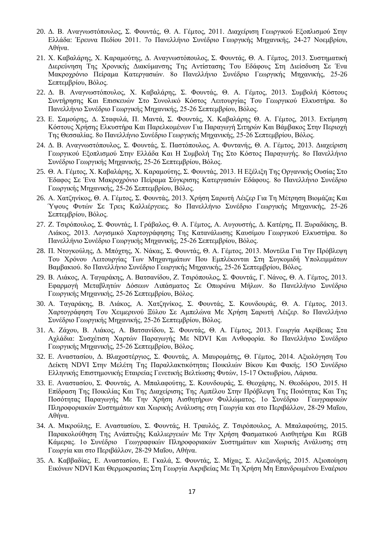- 20. Δ. Β. Αναγνωστόπουλος, Σ. Φουντάς, Θ. Α. Γέμτος, 2011. Διαχείριση Γεωργικού Εξοπλισμού Στην Ελλάδα: Έρευνα Πεδίου 2011. 7ο Πανελλήνιο Συνέδριο Γεωργικής Μηχανικής, 24-27 Νοεμβρίου, Αθήνα.
- 21. Χ. Καβαλάρης, Χ. Καραμούτης, Δ. Αναγνωστόπουλος, Σ. Φουντάς, Θ. Α. Γέμτος, 2013. Συστηματική Διερεύνηση Της Χρονικής Διακύμανσης Της Αντίστασης Του Εδάφους Στη Διείσδυση Σε Ένα Μακροχρόνιο Πείραμα Κατεργασιών. 8ο Πανελλήνιο Συνέδριο Γεωργικής Μηχανικής, 25-26 Σεπτεμβρίου, Βόλος.
- 22. Δ. Β. Αναγνωστόπουλος, Χ. Καβαλάρης, Σ. Φουντάς, Θ. Α. Γέμτος, 2013. Συμβολή Κόστους Συντήρησης Και Επισκευών Στο Συνολικό Κόστος Λειτουργίας Του Γεωργικού Ελκυστήρα. 8ο Πανελλήνιο Συνέδριο Γεωργικής Μηχανικής, 25-26 Σεπτεμβρίου, Βόλος.
- 23. Ε. Σαμούρης, Δ. Σταφυλά, Π. Μαντά, Σ. Φουντάς, Χ. Καβαλάρης Θ. Α. Γέμτος, 2013. Εκτίμηση Κόστους Χρήσης Ελκυστήρα Και Παρελκομένων Για Παραγωγή Σιτηρών Και Βάμβακος Στην Περιοχή Της Θεσσαλίας. 8ο Πανελλήνιο Συνέδριο Γεωργικής Μηχανικής, 25-26 Σεπτεμβρίου, Βόλος.
- 24. Δ. Β. Αναγνωστόπουλος, Σ. Φουντάς, Σ. Παστόπουλος, Α. Φυντανής, Θ. Α. Γέμτος, 2013. Διαχείριση Γεωργικού Εξοπλισμού Στην Ελλάδα Και Η Συμβολή Της Στο Κόστος Παραγωγής. 8ο Πανελλήνιο Συνέδριο Γεωργικής Μηχανικής, 25-26 Σεπτεμβρίου, Βόλος.
- 25. Θ. Α. Γέμτος, Χ. Καβαλάρης, Χ. Καραμούτης, Σ. Φουντάς, 2013. Η Εξέλιξη Της Οργανικής Ουσίας Στο Έδαφος Σε Ένα Μακροχρόνιο Πείραμα Σύγκρισης Κατεργασιών Εδάφους. 8ο Πανελλήνιο Συνέδριο Γεωργικής Μηχανικής, 25-26 Σεπτεμβρίου, Βόλος.
- 26. Α. Χατζηνίκος, Θ. Α. Γέμτος, Σ. Φουντάς, 2013. Χρήση Σαρωτή Λέιζερ Για Τη Μέτρηση Βιομάζας Και Ύψους Φυτών Σε Τρεις Καλλιέργειες. 8ο Πανελλήνιο Συνέδριο Γεωργικής Μηχανικής, 25-26 Σεπτεμβρίου, Βόλος.
- 27. Ζ. Τσιρόπουλος, Σ. Φουντάς, Ι. Γράβαλος, Θ. Α. Γέμτος, Α. Αυγουστής, Δ. Κατέρης, Π. Ξυραδάκης, Β. Λιάκος, 2013. Λογισμικό Χαρτογράφησης Της Κατανάλωσης Καυσίμου Γεωργικού Ελκυστήρα. 8ο Πανελλήνιο Συνέδριο Γεωργικής Μηχανικής, 25-26 Σεπτεμβρίου, Βόλος.
- 28. Π. Ντογκούλης, Δ. Μπόχτης, Χ. Νάκας, Σ. Φουντάς, Θ. Α. Γέμτος, 2013. Μοντέλα Για Την Πρόβλεψη Του Χρόνου Λειτουργίας Των Μηχανημάτων Που Εμπλέκονται Στη Συγκομιδή Υπολειμμάτων Βαμβακιού. 8ο Πανελλήνιο Συνέδριο Γεωργικής Μηχανικής, 25-26 Σεπτεμβρίου, Βόλος.
- 29. Β. Λιάκος, Α. Ταγαράκης, Α. Βατσανίδου, Ζ. Τσιρόπουλος, Σ. Φουντάς, Γ. Νάνος, Θ. Α. Γέμτος, 2013. Εφαρμογή Μεταβλητών Δόσεων Λιπάσματος Σε Οπωρώνα Μήλων. 8ο Πανελλήνιο Συνέδριο Γεωργικής Μηχανικής, 25-26 Σεπτεμβρίου, Βόλος.
- 30. Α. Ταγαράκης, Β. Λιάκος, Α. Χατζηνίκος, Σ. Φουντάς, Σ. Κουνδουράς, Θ. Α. Γέμτος, 2013. Χαρτογράφηση Του Χειμερινού Ξύλου Σε Αμπελώνα Με Χρήση Σαρωτή Λέιζερ. 8ο Πανελλήνιο Συνέδριο Γεωργικής Μηχανικής, 25-26 Σεπτεμβρίου, Βόλος.
- 31. Α. Ζάχου, Β. Λιάκος, Α. Βατσανίδου, Σ. Φουντάς, Θ. Α. Γέμτος, 2013. Γεωργία Ακρίβειας Στα Αχλάδια: Συσχέτιση Χαρτών Παραγωγής Με NDVI Και Ανθοφορία. 8ο Πανελλήνιο Συνέδριο Γεωργικής Μηχανικής, 25-26 Σεπτεμβρίου, Βόλος.
- 32. Ε. Αναστασίου, Δ. Βλαχοστέργιος, Σ. Φουντάς, Α. Μαυρομάτης, Θ. Γέμτος, 2014. Αξιολόγηση Του Δείκτη NDVI Στην Μελέτη Της Παραλλακτικότητας Ποικιλιών Βίκου Και Φακής. 15Ο Συνέδριο Ελληνικής Επιστημονικής Εταιρείας Γενετικής Βελτίωσης Φυτών, 15-17 Οκτωβρίου, Λάρισα.
- 33. Ε. Αναστασίου, Σ. Φουντάς, Α. Μπαλαφούτης, Σ. Κουνδουράς, Σ. Θεοχάρης, Ν. Θεοδώρου, 2015. Η Επίδραση Της Ποικιλίας Και Της Διαχείρισης Της Αμπέλου Στην Πρόβλεψη Της Ποιότητας Και Της Ποσότητας Παραγωγής Με Την Χρήση Αισθητήρων Φυλλώματος. 1ο Συνέδριο Γεωγραφικών Πληροφοριακών Συστημάτων και Χωρικής Ανάλυσης στη Γεωργία και στο Περιβάλλον, 28-29 Μαΐου, Αθήνα.
- 34. Α. Μικρούλης, Ε. Αναστασίου, Σ. Φουντάς, Η. Τραυλός, Ζ. Τσιρόπουλος, Α. Μπαλαφούτης, 2015. Παρακολούθηση Της Ανάπτυξης Καλλιεργειών Με Την Χρήση Φασματικού Αισθητήρα Και RGB Κάμερας. 1ο Συνέδριο Γεωγραφικών Πληροφοριακών Συστημάτων και Χωρικής Ανάλυσης στη Γεωργία και στο Περιβάλλον, 28-29 Μαΐου, Αθήνα.
- 35. Α. Καββαδίας, Ε. Αναστασίου, Ε. Γκαλά, Σ. Φουντάς, Σ. Μίχας, Σ. Αλεξανδρής, 2015. Αξιοποίηση Εικόνων NDVI Και Θερμοκρασίας Στη Γεωργία Ακριβείας Με Τη Χρήση Μη Επανδρωμένου Εναέριου